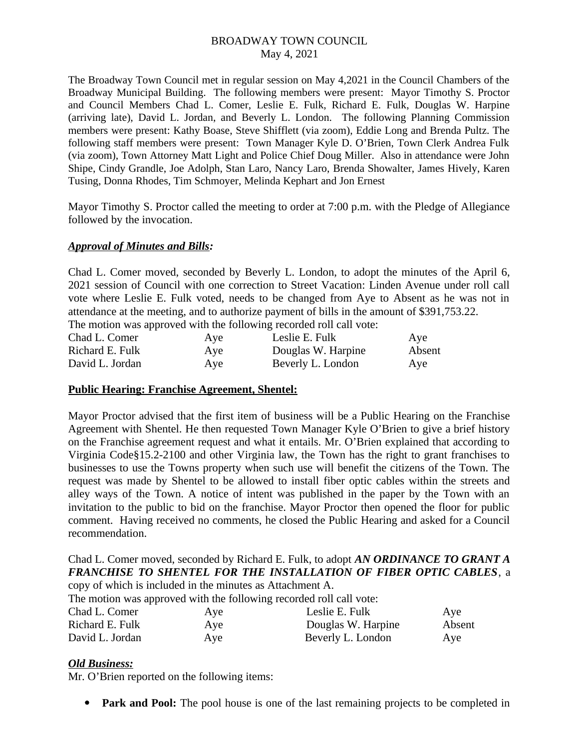The Broadway Town Council met in regular session on May 4,2021 in the Council Chambers of the Broadway Municipal Building. The following members were present: Mayor Timothy S. Proctor and Council Members Chad L. Comer, Leslie E. Fulk, Richard E. Fulk, Douglas W. Harpine (arriving late), David L. Jordan, and Beverly L. London. The following Planning Commission members were present: Kathy Boase, Steve Shifflett (via zoom), Eddie Long and Brenda Pultz. The following staff members were present: Town Manager Kyle D. O'Brien, Town Clerk Andrea Fulk (via zoom), Town Attorney Matt Light and Police Chief Doug Miller. Also in attendance were John Shipe, Cindy Grandle, Joe Adolph, Stan Laro, Nancy Laro, Brenda Showalter, James Hively, Karen Tusing, Donna Rhodes, Tim Schmoyer, Melinda Kephart and Jon Ernest

Mayor Timothy S. Proctor called the meeting to order at 7:00 p.m. with the Pledge of Allegiance followed by the invocation.

## *Approval of Minutes and Bills:*

Chad L. Comer moved, seconded by Beverly L. London, to adopt the minutes of the April 6, 2021 session of Council with one correction to Street Vacation: Linden Avenue under roll call vote where Leslie E. Fulk voted, needs to be changed from Aye to Absent as he was not in attendance at the meeting, and to authorize payment of bills in the amount of \$391,753.22. The motion was approved with the following recorded roll call vote:

|                 |     | THE INDUCTION WAS approved with the following recorded foll call vote. |        |
|-----------------|-----|------------------------------------------------------------------------|--------|
| Chad L. Comer   | Ave | Leslie E. Fulk                                                         | Aye    |
| Richard E. Fulk | Aye | Douglas W. Harpine                                                     | Absent |
| David L. Jordan | Ave | Beverly L. London                                                      | Aye    |

#### **Public Hearing: Franchise Agreement, Shentel:**

Mayor Proctor advised that the first item of business will be a Public Hearing on the Franchise Agreement with Shentel. He then requested Town Manager Kyle O'Brien to give a brief history on the Franchise agreement request and what it entails. Mr. O'Brien explained that according to Virginia Code§15.2-2100 and other Virginia law, the Town has the right to grant franchises to businesses to use the Towns property when such use will benefit the citizens of the Town. The request was made by Shentel to be allowed to install fiber optic cables within the streets and alley ways of the Town. A notice of intent was published in the paper by the Town with an invitation to the public to bid on the franchise. Mayor Proctor then opened the floor for public comment. Having received no comments, he closed the Public Hearing and asked for a Council recommendation.

#### Chad L. Comer moved, seconded by Richard E. Fulk, to adopt *AN ORDINANCE TO GRANT A FRANCHISE TO SHENTEL FOR THE INSTALLATION OF FIBER OPTIC CABLES*, a copy of which is included in the minutes as Attachment A.

The motion was approved with the following recorded roll call vote:

| Chad L. Comer   | Aye | Leslie E. Fulk     | Ave    |
|-----------------|-----|--------------------|--------|
| Richard E. Fulk | Aye | Douglas W. Harpine | Absent |
| David L. Jordan | Aye | Beverly L. London  | Aye    |

#### *Old Business:*

Mr. O'Brien reported on the following items:

• **Park and Pool:** The pool house is one of the last remaining projects to be completed in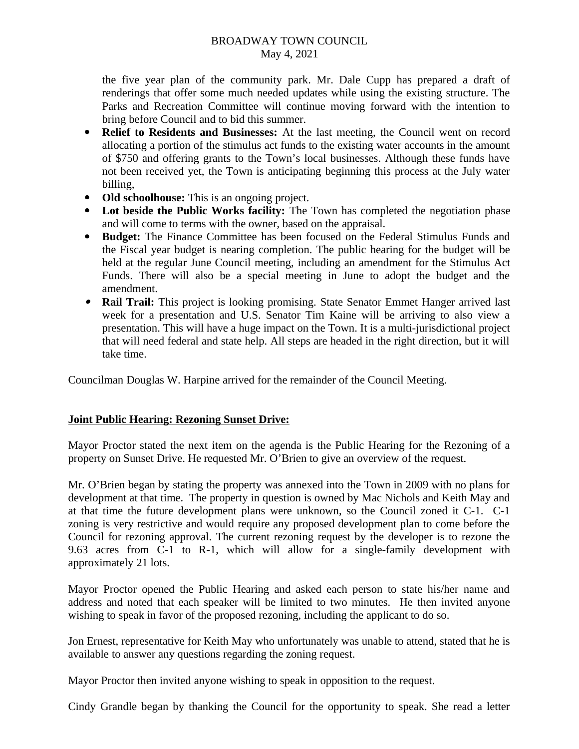the five year plan of the community park. Mr. Dale Cupp has prepared a draft of renderings that offer some much needed updates while using the existing structure. The Parks and Recreation Committee will continue moving forward with the intention to bring before Council and to bid this summer.

- **Relief to Residents and Businesses:** At the last meeting, the Council went on record allocating a portion of the stimulus act funds to the existing water accounts in the amount of \$750 and offering grants to the Town's local businesses. Although these funds have not been received yet, the Town is anticipating beginning this process at the July water billing,
- **Old schoolhouse:** This is an ongoing project.
- **Lot beside the Public Works facility:** The Town has completed the negotiation phase and will come to terms with the owner, based on the appraisal.
- **Budget:** The Finance Committee has been focused on the Federal Stimulus Funds and the Fiscal year budget is nearing completion. The public hearing for the budget will be held at the regular June Council meeting, including an amendment for the Stimulus Act Funds. There will also be a special meeting in June to adopt the budget and the amendment.
- **Rail Trail:** This project is looking promising. State Senator Emmet Hanger arrived last week for a presentation and U.S. Senator Tim Kaine will be arriving to also view a presentation. This will have a huge impact on the Town. It is a multi-jurisdictional project that will need federal and state help. All steps are headed in the right direction, but it will take time.

Councilman Douglas W. Harpine arrived for the remainder of the Council Meeting.

## **Joint Public Hearing: Rezoning Sunset Drive:**

Mayor Proctor stated the next item on the agenda is the Public Hearing for the Rezoning of a property on Sunset Drive. He requested Mr. O'Brien to give an overview of the request.

Mr. O'Brien began by stating the property was annexed into the Town in 2009 with no plans for development at that time. The property in question is owned by Mac Nichols and Keith May and at that time the future development plans were unknown, so the Council zoned it C-1. C-1 zoning is very restrictive and would require any proposed development plan to come before the Council for rezoning approval. The current rezoning request by the developer is to rezone the 9.63 acres from C-1 to R-1, which will allow for a single-family development with approximately 21 lots.

Mayor Proctor opened the Public Hearing and asked each person to state his/her name and address and noted that each speaker will be limited to two minutes. He then invited anyone wishing to speak in favor of the proposed rezoning, including the applicant to do so.

Jon Ernest, representative for Keith May who unfortunately was unable to attend, stated that he is available to answer any questions regarding the zoning request.

Mayor Proctor then invited anyone wishing to speak in opposition to the request.

Cindy Grandle began by thanking the Council for the opportunity to speak. She read a letter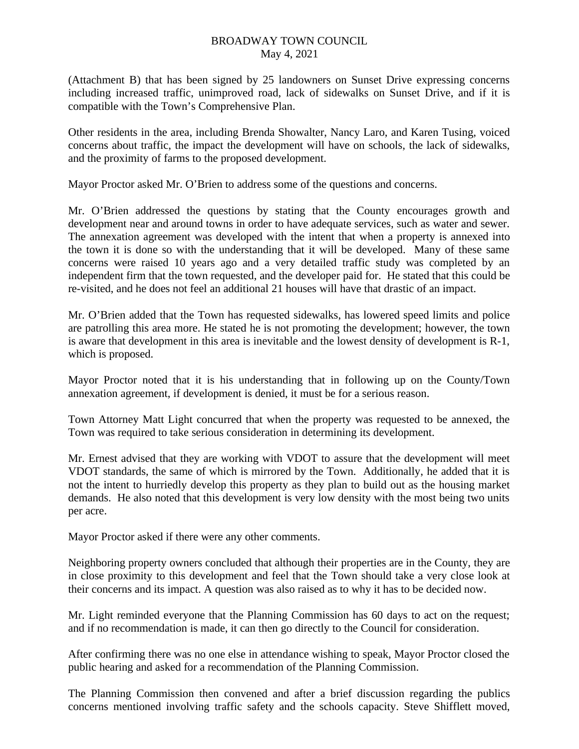(Attachment B) that has been signed by 25 landowners on Sunset Drive expressing concerns including increased traffic, unimproved road, lack of sidewalks on Sunset Drive, and if it is compatible with the Town's Comprehensive Plan.

Other residents in the area, including Brenda Showalter, Nancy Laro, and Karen Tusing, voiced concerns about traffic, the impact the development will have on schools, the lack of sidewalks, and the proximity of farms to the proposed development.

Mayor Proctor asked Mr. O'Brien to address some of the questions and concerns.

Mr. O'Brien addressed the questions by stating that the County encourages growth and development near and around towns in order to have adequate services, such as water and sewer. The annexation agreement was developed with the intent that when a property is annexed into the town it is done so with the understanding that it will be developed. Many of these same concerns were raised 10 years ago and a very detailed traffic study was completed by an independent firm that the town requested, and the developer paid for. He stated that this could be re-visited, and he does not feel an additional 21 houses will have that drastic of an impact.

Mr. O'Brien added that the Town has requested sidewalks, has lowered speed limits and police are patrolling this area more. He stated he is not promoting the development; however, the town is aware that development in this area is inevitable and the lowest density of development is R-1, which is proposed.

Mayor Proctor noted that it is his understanding that in following up on the County/Town annexation agreement, if development is denied, it must be for a serious reason.

Town Attorney Matt Light concurred that when the property was requested to be annexed, the Town was required to take serious consideration in determining its development.

Mr. Ernest advised that they are working with VDOT to assure that the development will meet VDOT standards, the same of which is mirrored by the Town. Additionally, he added that it is not the intent to hurriedly develop this property as they plan to build out as the housing market demands. He also noted that this development is very low density with the most being two units per acre.

Mayor Proctor asked if there were any other comments.

Neighboring property owners concluded that although their properties are in the County, they are in close proximity to this development and feel that the Town should take a very close look at their concerns and its impact. A question was also raised as to why it has to be decided now.

Mr. Light reminded everyone that the Planning Commission has 60 days to act on the request; and if no recommendation is made, it can then go directly to the Council for consideration.

After confirming there was no one else in attendance wishing to speak, Mayor Proctor closed the public hearing and asked for a recommendation of the Planning Commission.

The Planning Commission then convened and after a brief discussion regarding the publics concerns mentioned involving traffic safety and the schools capacity. Steve Shifflett moved,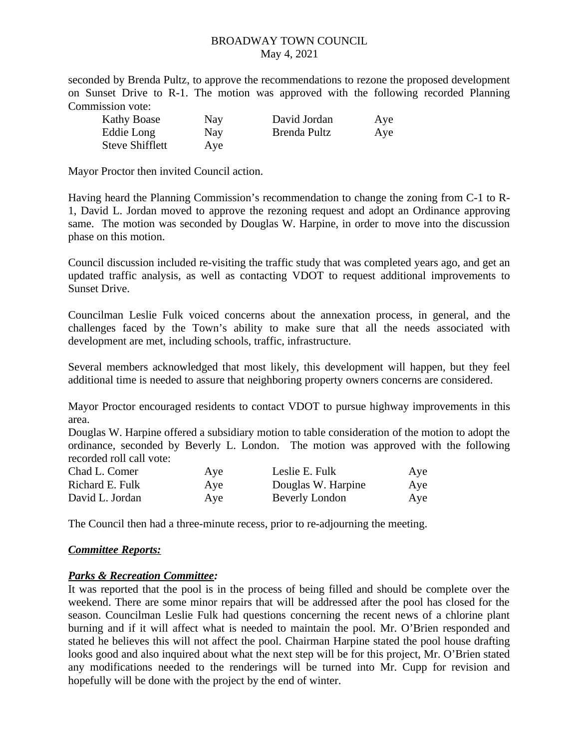seconded by Brenda Pultz, to approve the recommendations to rezone the proposed development on Sunset Drive to R-1. The motion was approved with the following recorded Planning Commission vote:

| <b>Kathy Boase</b>     | Nay | David Jordan | Aye |
|------------------------|-----|--------------|-----|
| Eddie Long             | Nay | Brenda Pultz | Aye |
| <b>Steve Shifflett</b> | Aye |              |     |

Mayor Proctor then invited Council action.

Having heard the Planning Commission's recommendation to change the zoning from C-1 to R-1, David L. Jordan moved to approve the rezoning request and adopt an Ordinance approving same. The motion was seconded by Douglas W. Harpine, in order to move into the discussion phase on this motion.

Council discussion included re-visiting the traffic study that was completed years ago, and get an updated traffic analysis, as well as contacting VDOT to request additional improvements to Sunset Drive.

Councilman Leslie Fulk voiced concerns about the annexation process, in general, and the challenges faced by the Town's ability to make sure that all the needs associated with development are met, including schools, traffic, infrastructure.

Several members acknowledged that most likely, this development will happen, but they feel additional time is needed to assure that neighboring property owners concerns are considered.

Mayor Proctor encouraged residents to contact VDOT to pursue highway improvements in this area.

Douglas W. Harpine offered a subsidiary motion to table consideration of the motion to adopt the ordinance, seconded by Beverly L. London. The motion was approved with the following recorded roll call vote:

| Chad L. Comer   | Aye | Leslie E. Fulk        | Aye |
|-----------------|-----|-----------------------|-----|
| Richard E. Fulk | Aye | Douglas W. Harpine    | Aye |
| David L. Jordan | Aye | <b>Beverly London</b> | Aye |

The Council then had a three-minute recess, prior to re-adjourning the meeting.

#### *Committee Reports:*

#### *Parks & Recreation Committee:*

It was reported that the pool is in the process of being filled and should be complete over the weekend. There are some minor repairs that will be addressed after the pool has closed for the season. Councilman Leslie Fulk had questions concerning the recent news of a chlorine plant burning and if it will affect what is needed to maintain the pool. Mr. O'Brien responded and stated he believes this will not affect the pool. Chairman Harpine stated the pool house drafting looks good and also inquired about what the next step will be for this project, Mr. O'Brien stated any modifications needed to the renderings will be turned into Mr. Cupp for revision and hopefully will be done with the project by the end of winter.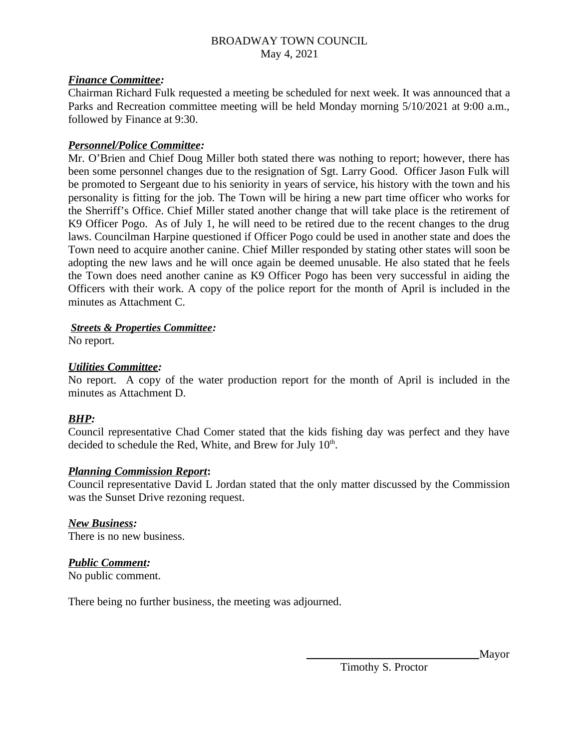## *Finance Committee:*

Chairman Richard Fulk requested a meeting be scheduled for next week. It was announced that a Parks and Recreation committee meeting will be held Monday morning 5/10/2021 at 9:00 a.m., followed by Finance at 9:30.

## *Personnel/Police Committee:*

Mr. O'Brien and Chief Doug Miller both stated there was nothing to report; however, there has been some personnel changes due to the resignation of Sgt. Larry Good. Officer Jason Fulk will be promoted to Sergeant due to his seniority in years of service, his history with the town and his personality is fitting for the job. The Town will be hiring a new part time officer who works for the Sherriff's Office. Chief Miller stated another change that will take place is the retirement of K9 Officer Pogo. As of July 1, he will need to be retired due to the recent changes to the drug laws. Councilman Harpine questioned if Officer Pogo could be used in another state and does the Town need to acquire another canine. Chief Miller responded by stating other states will soon be adopting the new laws and he will once again be deemed unusable. He also stated that he feels the Town does need another canine as K9 Officer Pogo has been very successful in aiding the Officers with their work. A copy of the police report for the month of April is included in the minutes as Attachment C.

## *Streets & Properties Committee:*

No report.

## *Utilities Committee:*

No report. A copy of the water production report for the month of April is included in the minutes as Attachment D.

## *BHP:*

Council representative Chad Comer stated that the kids fishing day was perfect and they have decided to schedule the Red, White, and Brew for July  $10<sup>th</sup>$ .

#### *Planning Commission Report***:**

Council representative David L Jordan stated that the only matter discussed by the Commission was the Sunset Drive rezoning request.

*New Business:* There is no new business.

## *Public Comment:*

No public comment.

There being no further business, the meeting was adjourned.

Mayor

Timothy S. Proctor